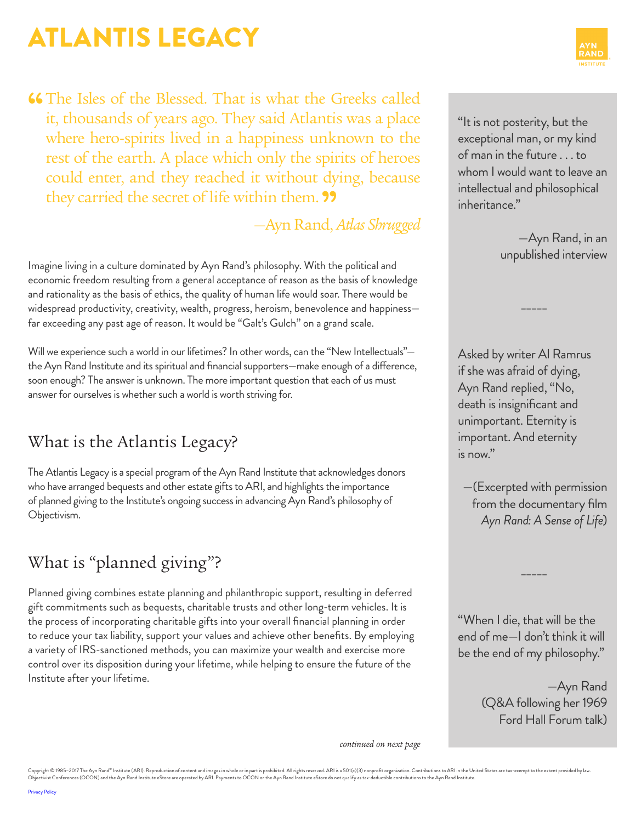**46** The Isles of the Blessed. That is what the Greeks called it, thousands of years ago. They said Atlantis was a place where hero-spirits lived in a happiness unknown to the rest of the earth. A place which only the spirits of heroes could enter, and they reached it without dying, because they carried the secret of life within them. "

—Ayn Rand, *Atlas Shrugged*

Imagine living in a culture dominated by Ayn Rand's philosophy. With the political and economic freedom resulting from a general acceptance of reason as the basis of knowledge and rationality as the basis of ethics, the quality of human life would soar. There would be widespread productivity, creativity, wealth, progress, heroism, benevolence and happiness far exceeding any past age of reason. It would be "Galt's Gulch" on a grand scale.

Will we experience such a world in our lifetimes? In other words, can the "New Intellectuals"the Ayn Rand Institute and its spiritual and financial supporters—make enough of a difference, soon enough? The answer is unknown. The more important question that each of us must answer for ourselves is whether such a world is worth striving for.

## What is the Atlantis Legacy?

The Atlantis Legacy is a special program of the Ayn Rand Institute that acknowledges donors who have arranged bequests and other estate gifts to ARI, and highlights the importance of planned giving to the Institute's ongoing success in advancing Ayn Rand's philosophy of Objectivism.

## What is "planned giving"?

Planned giving combines estate planning and philanthropic support, resulting in deferred gift commitments such as bequests, charitable trusts and other long-term vehicles. It is the process of incorporating charitable gifts into your overall financial planning in order to reduce your tax liability, support your values and achieve other benefits. By employing a variety of IRS-sanctioned methods, you can maximize your wealth and exercise more control over its disposition during your lifetime, while helping to ensure the future of the Institute after your lifetime.

"It is not posterity, but the exceptional man, or my kind of man in the future . . . to whom I would want to leave an intellectual and philosophical inheritance."

> —Ayn Rand, in an unpublished interview

Asked by writer Al Ramrus if she was afraid of dying, Ayn Rand replied, "No, death is insignificant and unimportant. Eternity is important. And eternity is now."

\_\_\_\_\_

—(Excerpted with permission from the documentary film *[Ayn Rand: A Sense of Life](http://www.aynrandbookstore.com/prodinfo.asp?number=AR72DV)*)

"When I die, that will be the end of me—I don't think it will be the end of my philosophy."

 $\overline{\phantom{a}}$ 

—Ayn Rand (Q&A following her 1969 Ford Hall Forum talk)

*continued on next page*

Copyright © 1985–2017 The Ayn Rand® Institute (ARI). Reproduction of content and images in whole or in part is prohibited. All rights reserved. ARI is a 501(c)(3) nonprofit organization. Contributions to ARI in the United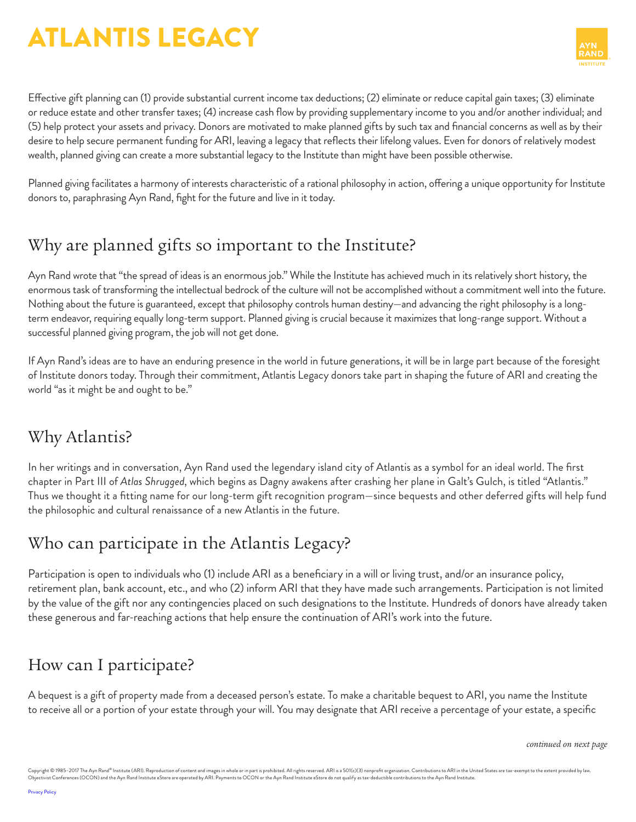

Effective gift planning can (1) provide substantial current income tax deductions; (2) eliminate or reduce capital gain taxes; (3) eliminate or reduce estate and other transfer taxes; (4) increase cash flow by providing supplementary income to you and/or another individual; and (5) help protect your assets and privacy. Donors are motivated to make planned gifts by such tax and financial concerns as well as by their desire to help secure permanent funding for ARI, leaving a legacy that reflects their lifelong values. Even for donors of relatively modest wealth, planned giving can create a more substantial legacy to the Institute than might have been possible otherwise.

Planned giving facilitates a harmony of interests characteristic of a rational philosophy in action, offering a unique opportunity for Institute donors to, paraphrasing Ayn Rand, fight for the future and live in it today.

### Why are planned gifts so important to the Institute?

Ayn Rand wrote that "the spread of ideas is an enormous job." While the Institute has achieved much in its relatively short history, the enormous task of transforming the intellectual bedrock of the culture will not be accomplished without a commitment well into the future. Nothing about the future is guaranteed, except that philosophy controls human destiny—and advancing the right philosophy is a longterm endeavor, requiring equally long-term support. Planned giving is crucial because it maximizes that long-range support. Without a successful planned giving program, the job will not get done.

If Ayn Rand's ideas are to have an enduring presence in the world in future generations, it will be in large part because of the foresight of Institute donors today. Through their commitment, Atlantis Legacy donors take part in shaping the future of ARI and creating the world "as it might be and ought to be."

#### Why Atlantis?

In her writings and in conversation, Ayn Rand used the legendary island city of Atlantis as a symbol for an ideal world. The first chapter in Part III of *Atlas Shrugged*, which begins as Dagny awakens after crashing her plane in Galt's Gulch, is titled "Atlantis." Thus we thought it a fitting name for our long-term gift recognition program—since bequests and other deferred gifts will help fund the philosophic and cultural renaissance of a new Atlantis in the future.

## Who can participate in the Atlantis Legacy?

Participation is open to individuals who (1) include ARI as a beneficiary in a will or living trust, and/or an insurance policy, retirement plan, bank account, etc., and who (2) inform ARI that they have made such arrangements. Participation is not limited by the value of the gift nor any contingencies placed on such designations to the Institute. Hundreds of donors have already taken these generous and far-reaching actions that help ensure the continuation of ARI's work into the future.

## How can I participate?

A bequest is a gift of property made from a deceased person's estate. To make a charitable bequest to ARI, you name the Institute to receive all or a portion of your estate through your will. You may designate that ARI receive a percentage of your estate, a specific

*continued on next page*

Copyright © 1985–2017 The Ayn Rand® Institute (ARI). Reproduction of content and images in whole or in part is prohibited. All rights reserved. ARI is a 501(c)(3) nonprofit organization. Contributions to ARI in the United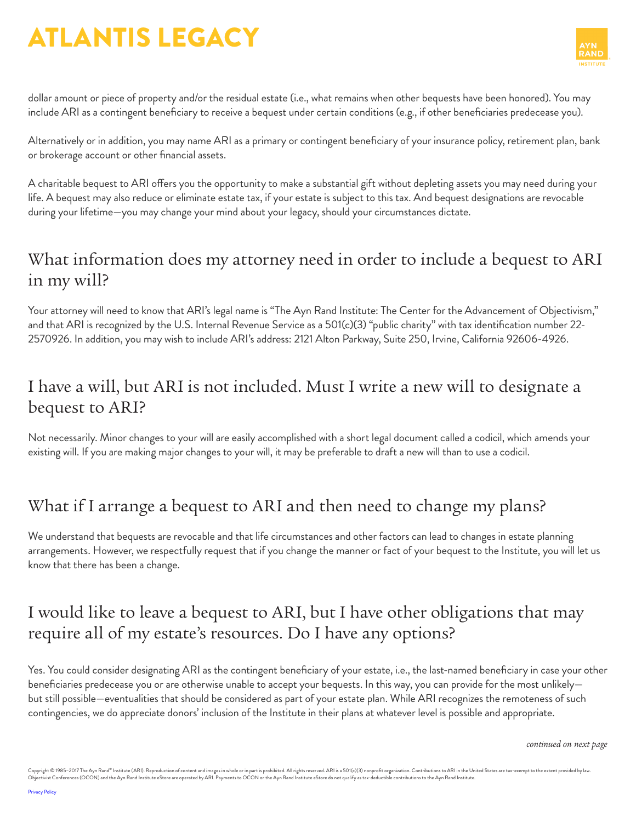

dollar amount or piece of property and/or the residual estate (i.e., what remains when other bequests have been honored). You may include ARI as a contingent beneficiary to receive a bequest under certain conditions (e.g., if other beneficiaries predecease you).

Alternatively or in addition, you may name ARI as a primary or contingent beneficiary of your insurance policy, retirement plan, bank or brokerage account or other financial assets.

A charitable bequest to ARI offers you the opportunity to make a substantial gift without depleting assets you may need during your life. A bequest may also reduce or eliminate estate tax, if your estate is subject to this tax. And bequest designations are revocable during your lifetime—you may change your mind about your legacy, should your circumstances dictate.

#### What information does my attorney need in order to include a bequest to ARI in my will?

Your attorney will need to know that ARI's legal name is "The Ayn Rand Institute: The Center for the Advancement of Objectivism," and that ARI is recognized by the U.S. Internal Revenue Service as a 501(c)(3) "public charity" with tax identification number 22- 2570926. In addition, you may wish to include ARI's address: 2121 Alton Parkway, Suite 250, Irvine, California 92606-4926.

#### I have a will, but ARI is not included. Must I write a new will to designate a bequest to ARI?

Not necessarily. Minor changes to your will are easily accomplished with a short legal document called a codicil, which amends your existing will. If you are making major changes to your will, it may be preferable to draft a new will than to use a codicil.

## What if I arrange a bequest to ARI and then need to change my plans?

We understand that bequests are revocable and that life circumstances and other factors can lead to changes in estate planning arrangements. However, we respectfully request that if you change the manner or fact of your bequest to the Institute, you will let us know that there has been a change.

#### I would like to leave a bequest to ARI, but I have other obligations that may require all of my estate's resources. Do I have any options?

Yes. You could consider designating ARI as the contingent beneficiary of your estate, i.e., the last-named beneficiary in case your other beneficiaries predecease you or are otherwise unable to accept your bequests. In this way, you can provide for the most unlikely but still possible—eventualities that should be considered as part of your estate plan. While ARI recognizes the remoteness of such contingencies, we do appreciate donors' inclusion of the Institute in their plans at whatever level is possible and appropriate.

*continued on next page*

Copyright © 1985-2017 The Ayn Rand® Institute (ARI). Reproduction of content and images in whole or in part is prohibited. All rights reserved. ARI is a 501(c)(3) nonprofit organization. Contributions to ARI in the United Objectivist Conferences (OCON) and the Ayn Rand Institute eStore are operated by ARI. Payments to OCON or the Ayn Rand Institute eStore do not qualify as tax-deductible contributions to the Ayn Rand Institute.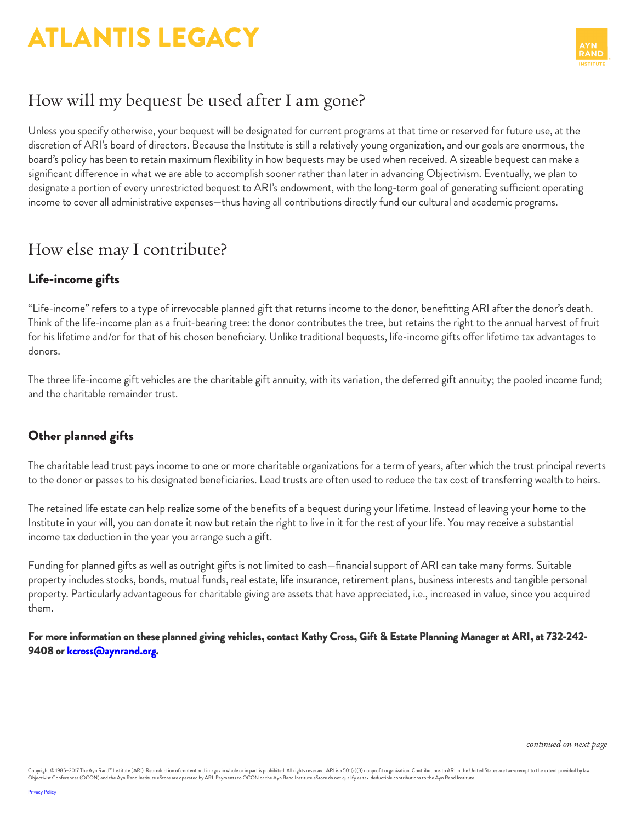

### How will my bequest be used after I am gone?

Unless you specify otherwise, your bequest will be designated for current programs at that time or reserved for future use, at the discretion of ARI's board of directors. Because the Institute is still a relatively young organization, and our goals are enormous, the board's policy has been to retain maximum flexibility in how bequests may be used when received. A sizeable bequest can make a significant difference in what we are able to accomplish sooner rather than later in advancing Objectivism. Eventually, we plan to designate a portion of every unrestricted bequest to ARI's endowment, with the long-term goal of generating sufficient operating income to cover all administrative expenses—thus having all contributions directly fund our cultural and academic programs.

#### How else may I contribute?

#### Life-income gifts

"Life-income" refers to a type of irrevocable planned gift that returns income to the donor, benefitting ARI after the donor's death. Think of the life-income plan as a fruit-bearing tree: the donor contributes the tree, but retains the right to the annual harvest of fruit for his lifetime and/or for that of his chosen beneficiary. Unlike traditional bequests, life-income gifts offer lifetime tax advantages to donors.

The three life-income gift vehicles are the charitable gift annuity, with its variation, the deferred gift annuity; the pooled income fund; and the charitable remainder trust.

#### Other planned gifts

The charitable lead trust pays income to one or more charitable organizations for a term of years, after which the trust principal reverts to the donor or passes to his designated beneficiaries. Lead trusts are often used to reduce the tax cost of transferring wealth to heirs.

The retained life estate can help realize some of the benefits of a bequest during your lifetime. Instead of leaving your home to the Institute in your will, you can donate it now but retain the right to live in it for the rest of your life. You may receive a substantial income tax deduction in the year you arrange such a gift.

Funding for planned gifts as well as outright gifts is not limited to cash—financial support of ARI can take many forms. Suitable property includes stocks, bonds, mutual funds, real estate, life insurance, retirement plans, business interests and tangible personal property. Particularly advantageous for charitable giving are assets that have appreciated, i.e., increased in value, since you acquired them.

For more information on these planned giving vehicles, contact Kathy Cross, Gift & Estate Planning Manager at ARI, at 732-242 9408 or [kcross@aynrand.org](mailto:kcross@aynrand.org).

*continued on next page*

Copyright © 1985-2017 The Ayn Rand® Institute (ARI). Reproduction of content and images in whole or in part is prohibited. All rights reserved. ARI is a 501(c)(3) nonprofit organization. Contributions to ARI in the United Objectivist Conferences (OCON) and the Ayn Rand Institute eStore are operated by ARI. Payments to OCON or the Ayn Rand Institute eStore do not qualify as tax-deductible contributions to the Ayn Rand Institute.